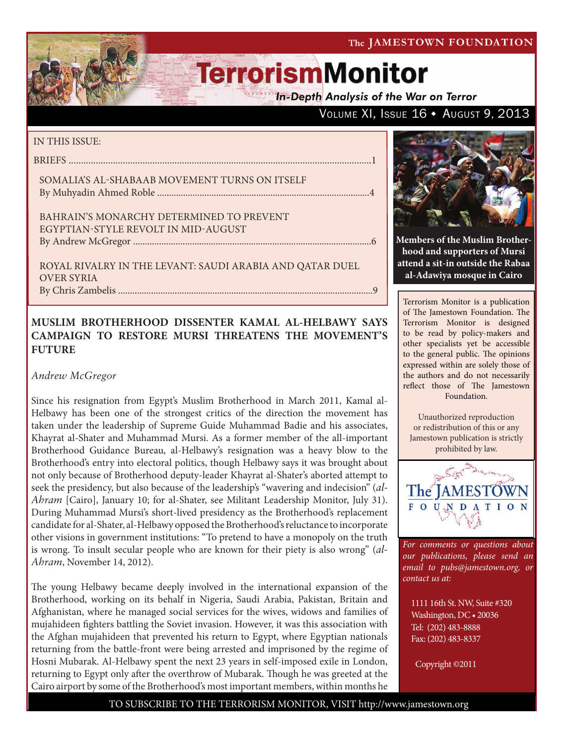VOLUME XI, ISSUE 16 + AUGUST 9, 2013

# **TerrorismMonitor**

**In-Depth Analysis of the War on Terror** 

#### IN THIS ISSUE:

briefs ...........................................................................................................................1

Somalia's al-Shabaab Movement Turns on Itself By Muhyadin Ahmed Roble ..........................................................................................4

Bahrain's Monarchy Determined to Prevent Egyptian-Style Revolt in Mid-August by Andrew McGregor .....................................................................................................6

Royal Rivalry in the Levant: Saudi Arabia and Qatar Duel over Syria By Chris Zambelis ............................................................................................................9

### **MUSLIM BROTHERHOOD DISSENTER KAMAL AL-HELBAWY SAYS CAMPAIGN TO RESTORE MURSI THREATENS THE MOVEMENT'S FUTURE**

*Andrew McGregor*

Since his resignation from Egypt's Muslim Brotherhood in March 2011, Kamal al-Helbawy has been one of the strongest critics of the direction the movement has taken under the leadership of Supreme Guide Muhammad Badie and his associates, Khayrat al-Shater and Muhammad Mursi. As a former member of the all-important Brotherhood Guidance Bureau, al-Helbawy's resignation was a heavy blow to the Brotherhood's entry into electoral politics, though Helbawy says it was brought about not only because of Brotherhood deputy-leader Khayrat al-Shater's aborted attempt to seek the presidency, but also because of the leadership's "wavering and indecision" (*al-Ahram* [Cairo], January 10; for al-Shater, see Militant Leadership Monitor, July 31). During Muhammad Mursi's short-lived presidency as the Brotherhood's replacement candidate for al-Shater, al-Helbawy opposed the Brotherhood's reluctance to incorporate other visions in government institutions: "To pretend to have a monopoly on the truth is wrong. To insult secular people who are known for their piety is also wrong" (*al-Ahram*, November 14, 2012).

The young Helbawy became deeply involved in the international expansion of the Brotherhood, working on its behalf in Nigeria, Saudi Arabia, Pakistan, Britain and Afghanistan, where he managed social services for the wives, widows and families of mujahideen fighters battling the Soviet invasion. However, it was this association with the Afghan mujahideen that prevented his return to Egypt, where Egyptian nationals returning from the battle-front were being arrested and imprisoned by the regime of Hosni Mubarak. Al-Helbawy spent the next 23 years in self-imposed exile in London, returning to Egypt only after the overthrow of Mubarak. Though he was greeted at the Cairo airport by some of the Brotherhood's most important members, within months he



**Members of the Muslim Brotherhood and supporters of Mursi attend a sit-in outside the Rabaa al-Adawiya mosque in Cairo**

Terrorism Monitor is a publication of The Jamestown Foundation. The Terrorism Monitor is designed to be read by policy-makers and other specialists yet be accessible to the general public. The opinions expressed within are solely those of the authors and do not necessarily reflect those of The Jamestown Foundation.

Unauthorized reproduction or redistribution of this or any Jamestown publication is strictly prohibited by law.



*For comments or questions about our publications, please send an email to pubs@jamestown.org, or contact us at:* 

1111 16th St. NW, Suite #320 Washington, DC • 20036 Tel: (202) 483-8888 Fax: (202) 483-8337

Copyright ©2011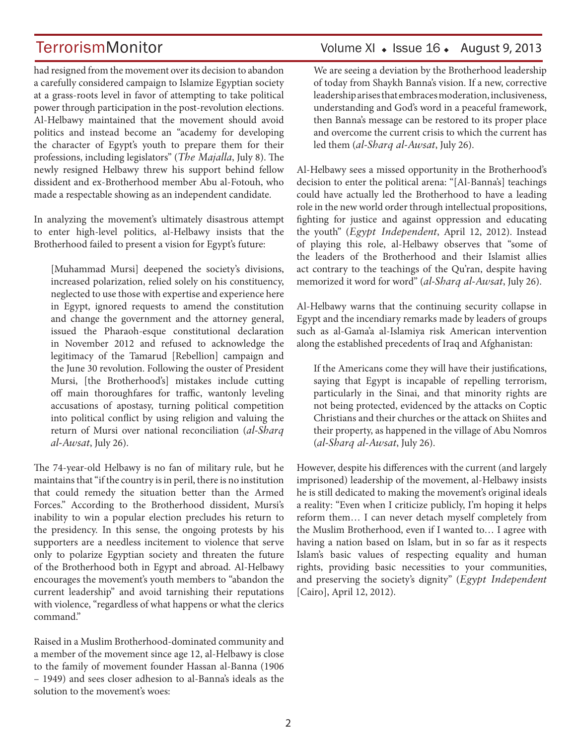had resigned from the movement over its decision to abandon a carefully considered campaign to Islamize Egyptian society at a grass-roots level in favor of attempting to take political power through participation in the post-revolution elections. Al-Helbawy maintained that the movement should avoid politics and instead become an "academy for developing the character of Egypt's youth to prepare them for their professions, including legislators" (*The Majalla*, July 8). The newly resigned Helbawy threw his support behind fellow dissident and ex-Brotherhood member Abu al-Fotouh, who made a respectable showing as an independent candidate.

In analyzing the movement's ultimately disastrous attempt to enter high-level politics, al-Helbawy insists that the Brotherhood failed to present a vision for Egypt's future:

[Muhammad Mursi] deepened the society's divisions, increased polarization, relied solely on his constituency, neglected to use those with expertise and experience here in Egypt, ignored requests to amend the constitution and change the government and the attorney general, issued the Pharaoh-esque constitutional declaration in November 2012 and refused to acknowledge the legitimacy of the Tamarud [Rebellion] campaign and the June 30 revolution. Following the ouster of President Mursi, [the Brotherhood's] mistakes include cutting off main thoroughfares for traffic, wantonly leveling accusations of apostasy, turning political competition into political conflict by using religion and valuing the return of Mursi over national reconciliation (*al-Sharq al-Awsat*, July 26).

The 74-year-old Helbawy is no fan of military rule, but he maintains that "if the country is in peril, there is no institution that could remedy the situation better than the Armed Forces." According to the Brotherhood dissident, Mursi's inability to win a popular election precludes his return to the presidency. In this sense, the ongoing protests by his supporters are a needless incitement to violence that serve only to polarize Egyptian society and threaten the future of the Brotherhood both in Egypt and abroad. Al-Helbawy encourages the movement's youth members to "abandon the current leadership" and avoid tarnishing their reputations with violence, "regardless of what happens or what the clerics command."

Raised in a Muslim Brotherhood-dominated community and a member of the movement since age 12, al-Helbawy is close to the family of movement founder Hassan al-Banna (1906 – 1949) and sees closer adhesion to al-Banna's ideals as the solution to the movement's woes:

## TerrorismMonitor Volume XI + Issue 16 + August 9, 2013

We are seeing a deviation by the Brotherhood leadership of today from Shaykh Banna's vision. If a new, corrective leadership arises that embraces moderation, inclusiveness, understanding and God's word in a peaceful framework, then Banna's message can be restored to its proper place and overcome the current crisis to which the current has led them (*al-Sharq al-Awsat*, July 26).

Al-Helbawy sees a missed opportunity in the Brotherhood's decision to enter the political arena: "[Al-Banna's] teachings could have actually led the Brotherhood to have a leading role in the new world order through intellectual propositions, fighting for justice and against oppression and educating the youth" (*Egypt Independent*, April 12, 2012). Instead of playing this role, al-Helbawy observes that "some of the leaders of the Brotherhood and their Islamist allies act contrary to the teachings of the Qu'ran, despite having memorized it word for word" (*al-Sharq al-Awsat*, July 26).

Al-Helbawy warns that the continuing security collapse in Egypt and the incendiary remarks made by leaders of groups such as al-Gama'a al-Islamiya risk American intervention along the established precedents of Iraq and Afghanistan:

If the Americans come they will have their justifications, saying that Egypt is incapable of repelling terrorism, particularly in the Sinai, and that minority rights are not being protected, evidenced by the attacks on Coptic Christians and their churches or the attack on Shiites and their property, as happened in the village of Abu Nomros (*al-Sharq al-Awsat*, July 26).

However, despite his differences with the current (and largely imprisoned) leadership of the movement, al-Helbawy insists he is still dedicated to making the movement's original ideals a reality: "Even when I criticize publicly, I'm hoping it helps reform them… I can never detach myself completely from the Muslim Brotherhood, even if I wanted to… I agree with having a nation based on Islam, but in so far as it respects Islam's basic values of respecting equality and human rights, providing basic necessities to your communities, and preserving the society's dignity" (*Egypt Independent* [Cairo], April 12, 2012).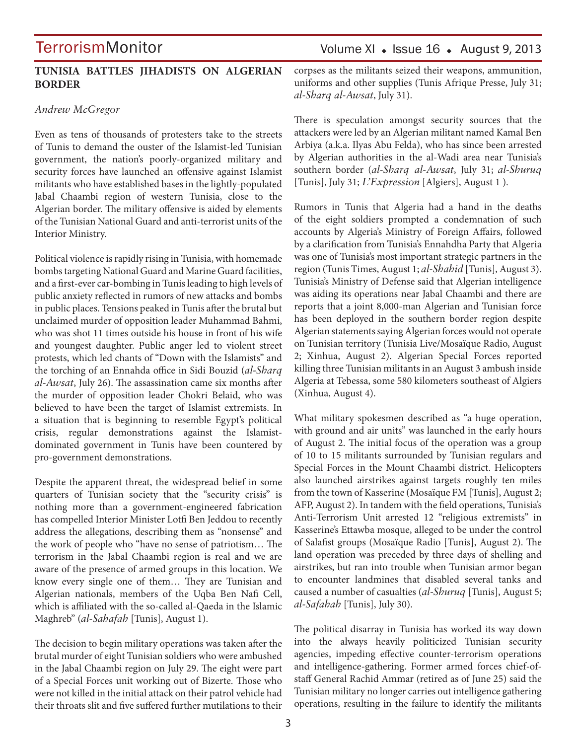#### **TUNISIA BATTLES JIHADISTS ON ALGERIAN BORDER**

#### *Andrew McGregor*

Even as tens of thousands of protesters take to the streets of Tunis to demand the ouster of the Islamist-led Tunisian government, the nation's poorly-organized military and security forces have launched an offensive against Islamist militants who have established bases in the lightly-populated Jabal Chaambi region of western Tunisia, close to the Algerian border. The military offensive is aided by elements of the Tunisian National Guard and anti-terrorist units of the Interior Ministry.

Political violence is rapidly rising in Tunisia, with homemade bombs targeting National Guard and Marine Guard facilities, and a first-ever car-bombing in Tunis leading to high levels of public anxiety reflected in rumors of new attacks and bombs in public places. Tensions peaked in Tunis after the brutal but unclaimed murder of opposition leader Muhammad Bahmi, who was shot 11 times outside his house in front of his wife and youngest daughter. Public anger led to violent street protests, which led chants of "Down with the Islamists" and the torching of an Ennahda office in Sidi Bouzid (*al-Sharq al-Awsat*, July 26). The assassination came six months after the murder of opposition leader Chokri Belaid, who was believed to have been the target of Islamist extremists. In a situation that is beginning to resemble Egypt's political crisis, regular demonstrations against the Islamistdominated government in Tunis have been countered by pro-government demonstrations.

Despite the apparent threat, the widespread belief in some quarters of Tunisian society that the "security crisis" is nothing more than a government-engineered fabrication has compelled Interior Minister Lotfi Ben Jeddou to recently address the allegations, describing them as "nonsense" and the work of people who "have no sense of patriotism… The terrorism in the Jabal Chaambi region is real and we are aware of the presence of armed groups in this location. We know every single one of them… They are Tunisian and Algerian nationals, members of the Uqba Ben Nafi Cell, which is affiliated with the so-called al-Qaeda in the Islamic Maghreb" (*al-Sahafah* [Tunis], August 1).

The decision to begin military operations was taken after the brutal murder of eight Tunisian soldiers who were ambushed in the Jabal Chaambi region on July 29. The eight were part of a Special Forces unit working out of Bizerte. Those who were not killed in the initial attack on their patrol vehicle had their throats slit and five suffered further mutilations to their

## Volume XI  $\bullet$  Issue 16  $\bullet$  August 9, 2013

corpses as the militants seized their weapons, ammunition, uniforms and other supplies (Tunis Afrique Presse, July 31; *al-Sharq al-Awsat*, July 31).

There is speculation amongst security sources that the attackers were led by an Algerian militant named Kamal Ben Arbiya (a.k.a. Ilyas Abu Felda), who has since been arrested by Algerian authorities in the al-Wadi area near Tunisia's southern border (*al-Sharq al-Awsat*, July 31; *al-Shuruq*  [Tunis], July 31; *L'Expression* [Algiers], August 1 ).

Rumors in Tunis that Algeria had a hand in the deaths of the eight soldiers prompted a condemnation of such accounts by Algeria's Ministry of Foreign Affairs, followed by a clarification from Tunisia's Ennahdha Party that Algeria was one of Tunisia's most important strategic partners in the region (Tunis Times, August 1; *al-Shahid* [Tunis], August 3). Tunisia's Ministry of Defense said that Algerian intelligence was aiding its operations near Jabal Chaambi and there are reports that a joint 8,000-man Algerian and Tunisian force has been deployed in the southern border region despite Algerian statements saying Algerian forces would not operate on Tunisian territory (Tunisia Live/Mosaïque Radio, August 2; Xinhua, August 2). Algerian Special Forces reported killing three Tunisian militants in an August 3 ambush inside Algeria at Tebessa, some 580 kilometers southeast of Algiers (Xinhua, August 4).

What military spokesmen described as "a huge operation, with ground and air units" was launched in the early hours of August 2. The initial focus of the operation was a group of 10 to 15 militants surrounded by Tunisian regulars and Special Forces in the Mount Chaambi district. Helicopters also launched airstrikes against targets roughly ten miles from the town of Kasserine (Mosaïque FM [Tunis], August 2; AFP, August 2). In tandem with the field operations, Tunisia's Anti-Terrorism Unit arrested 12 "religious extremists" in Kasserine's Ettawba mosque, alleged to be under the control of Salafist groups (Mosaïque Radio [Tunis], August 2). The land operation was preceded by three days of shelling and airstrikes, but ran into trouble when Tunisian armor began to encounter landmines that disabled several tanks and caused a number of casualties (*al-Shuruq* [Tunis], August 5; *al-Safahah* [Tunis], July 30).

The political disarray in Tunisia has worked its way down into the always heavily politicized Tunisian security agencies, impeding effective counter-terrorism operations and intelligence-gathering. Former armed forces chief-ofstaff General Rachid Ammar (retired as of June 25) said the Tunisian military no longer carries out intelligence gathering operations, resulting in the failure to identify the militants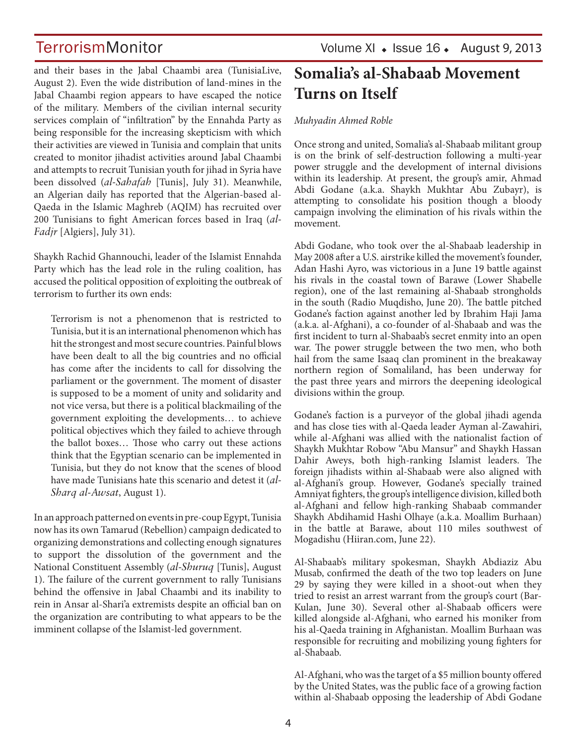and their bases in the Jabal Chaambi area (TunisiaLive, August 2). Even the wide distribution of land-mines in the Jabal Chaambi region appears to have escaped the notice of the military. Members of the civilian internal security services complain of "infiltration" by the Ennahda Party as being responsible for the increasing skepticism with which their activities are viewed in Tunisia and complain that units created to monitor jihadist activities around Jabal Chaambi and attempts to recruit Tunisian youth for jihad in Syria have been dissolved (*al-Sahafah* [Tunis], July 31). Meanwhile, an Algerian daily has reported that the Algerian-based al-Qaeda in the Islamic Maghreb (AQIM) has recruited over 200 Tunisians to fight American forces based in Iraq (*al-Fadjr* [Algiers], July 31).

Shaykh Rachid Ghannouchi, leader of the Islamist Ennahda Party which has the lead role in the ruling coalition, has accused the political opposition of exploiting the outbreak of terrorism to further its own ends:

Terrorism is not a phenomenon that is restricted to Tunisia, but it is an international phenomenon which has hit the strongest and most secure countries. Painful blows have been dealt to all the big countries and no official has come after the incidents to call for dissolving the parliament or the government. The moment of disaster is supposed to be a moment of unity and solidarity and not vice versa, but there is a political blackmailing of the government exploiting the developments… to achieve political objectives which they failed to achieve through the ballot boxes… Those who carry out these actions think that the Egyptian scenario can be implemented in Tunisia, but they do not know that the scenes of blood have made Tunisians hate this scenario and detest it (*al-Sharq al-Awsat*, August 1).

In an approach patterned on events in pre-coup Egypt, Tunisia now has its own Tamarud (Rebellion) campaign dedicated to organizing demonstrations and collecting enough signatures to support the dissolution of the government and the National Constituent Assembly (*al-Shuruq* [Tunis], August 1). The failure of the current government to rally Tunisians behind the offensive in Jabal Chaambi and its inability to rein in Ansar al-Shari'a extremists despite an official ban on the organization are contributing to what appears to be the imminent collapse of the Islamist-led government.

## **Somalia's al-Shabaab Movement Turns on Itself**

#### *Muhyadin Ahmed Roble*

Once strong and united, Somalia's al-Shabaab militant group is on the brink of self-destruction following a multi-year power struggle and the development of internal divisions within its leadership. At present, the group's amir, Ahmad Abdi Godane (a.k.a. Shaykh Mukhtar Abu Zubayr), is attempting to consolidate his position though a bloody campaign involving the elimination of his rivals within the movement.

Abdi Godane, who took over the al-Shabaab leadership in May 2008 after a U.S. airstrike killed the movement's founder, Adan Hashi Ayro, was victorious in a June 19 battle against his rivals in the coastal town of Barawe (Lower Shabelle region), one of the last remaining al-Shabaab strongholds in the south (Radio Muqdisho, June 20). The battle pitched Godane's faction against another led by Ibrahim Haji Jama (a.k.a. al-Afghani), a co-founder of al-Shabaab and was the first incident to turn al-Shabaab's secret enmity into an open war. The power struggle between the two men, who both hail from the same Isaaq clan prominent in the breakaway northern region of Somaliland, has been underway for the past three years and mirrors the deepening ideological divisions within the group.

Godane's faction is a purveyor of the global jihadi agenda and has close ties with al-Qaeda leader Ayman al-Zawahiri, while al-Afghani was allied with the nationalist faction of Shaykh Mukhtar Robow "Abu Mansur" and Shaykh Hassan Dahir Aweys, both high-ranking Islamist leaders. The foreign jihadists within al-Shabaab were also aligned with al-Afghani's group. However, Godane's specially trained Amniyat fighters, the group's intelligence division, killed both al-Afghani and fellow high-ranking Shabaab commander Shaykh Abdihamid Hashi Olhaye (a.k.a. Moallim Burhaan) in the battle at Barawe, about 110 miles southwest of Mogadishu (Hiiran.com, June 22).

Al-Shabaab's military spokesman, Shaykh Abdiaziz Abu Musab, confirmed the death of the two top leaders on June 29 by saying they were killed in a shoot-out when they tried to resist an arrest warrant from the group's court (Bar-Kulan, June 30). Several other al-Shabaab officers were killed alongside al-Afghani, who earned his moniker from his al-Qaeda training in Afghanistan. Moallim Burhaan was responsible for recruiting and mobilizing young fighters for al-Shabaab.

Al-Afghani, who was the target of a \$5 million bounty offered by the United States, was the public face of a growing faction within al-Shabaab opposing the leadership of Abdi Godane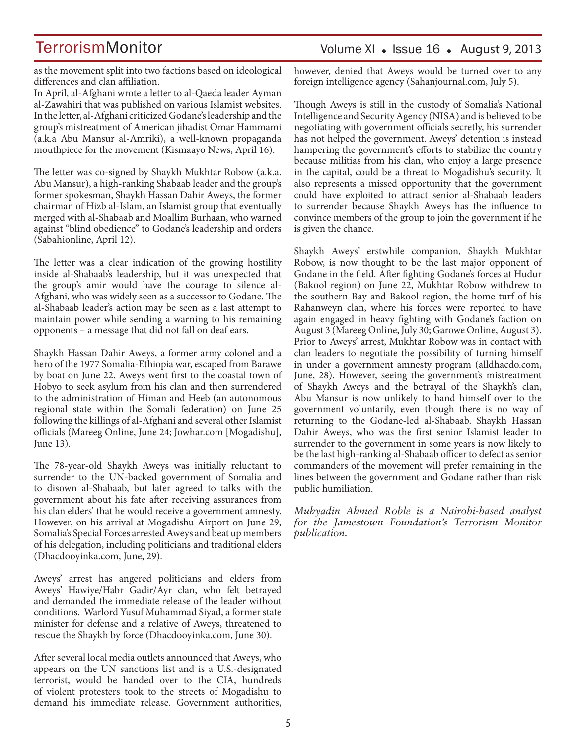Volume XI  $\bullet$  Issue 16  $\bullet$  August 9, 2013

as the movement split into two factions based on ideological differences and clan affiliation.

In April, al-Afghani wrote a letter to al-Qaeda leader Ayman al-Zawahiri that was published on various Islamist websites. In the letter, al-Afghani criticized Godane's leadership and the group's mistreatment of American jihadist Omar Hammami (a.k.a Abu Mansur al-Amriki), a well-known propaganda mouthpiece for the movement (Kismaayo News, April 16).

The letter was co-signed by Shaykh Mukhtar Robow (a.k.a. Abu Mansur), a high-ranking Shabaab leader and the group's former spokesman, Shaykh Hassan Dahir Aweys, the former chairman of Hizb al-Islam, an Islamist group that eventually merged with al-Shabaab and Moallim Burhaan, who warned against "blind obedience" to Godane's leadership and orders (Sabahionline, April 12).

The letter was a clear indication of the growing hostility inside al-Shabaab's leadership, but it was unexpected that the group's amir would have the courage to silence al-Afghani, who was widely seen as a successor to Godane. The al-Shabaab leader's action may be seen as a last attempt to maintain power while sending a warning to his remaining opponents – a message that did not fall on deaf ears.

Shaykh Hassan Dahir Aweys, a former army colonel and a hero of the 1977 Somalia-Ethiopia war, escaped from Barawe by boat on June 22. Aweys went first to the coastal town of Hobyo to seek asylum from his clan and then surrendered to the administration of Himan and Heeb (an autonomous regional state within the Somali federation) on June 25 following the killings of al-Afghani and several other Islamist officials (Mareeg Online, June 24; Jowhar.com [Mogadishu], June 13).

The 78-year-old Shaykh Aweys was initially reluctant to surrender to the UN-backed government of Somalia and to disown al-Shabaab, but later agreed to talks with the government about his fate after receiving assurances from his clan elders' that he would receive a government amnesty. However, on his arrival at Mogadishu Airport on June 29, Somalia's Special Forces arrested Aweys and beat up members of his delegation, including politicians and traditional elders (Dhacdooyinka.com, June, 29).

Aweys' arrest has angered politicians and elders from Aweys' Hawiye/Habr Gadir/Ayr clan, who felt betrayed and demanded the immediate release of the leader without conditions. Warlord Yusuf Muhammad Siyad, a former state minister for defense and a relative of Aweys, threatened to rescue the Shaykh by force (Dhacdooyinka.com, June 30).

After several local media outlets announced that Aweys, who appears on the UN sanctions list and is a U.S.-designated terrorist, would be handed over to the CIA, hundreds of violent protesters took to the streets of Mogadishu to demand his immediate release. Government authorities,

however, denied that Aweys would be turned over to any foreign intelligence agency (Sahanjournal.com, July 5).

Though Aweys is still in the custody of Somalia's National Intelligence and Security Agency (NISA) and is believed to be negotiating with government officials secretly, his surrender has not helped the government. Aweys' detention is instead hampering the government's efforts to stabilize the country because militias from his clan, who enjoy a large presence in the capital, could be a threat to Mogadishu's security. It also represents a missed opportunity that the government could have exploited to attract senior al-Shabaab leaders to surrender because Shaykh Aweys has the influence to convince members of the group to join the government if he is given the chance.

Shaykh Aweys' erstwhile companion, Shaykh Mukhtar Robow, is now thought to be the last major opponent of Godane in the field. After fighting Godane's forces at Hudur (Bakool region) on June 22, Mukhtar Robow withdrew to the southern Bay and Bakool region, the home turf of his Rahanweyn clan, where his forces were reported to have again engaged in heavy fighting with Godane's faction on August 3 (Mareeg Online, July 30; Garowe Online, August 3). Prior to Aweys' arrest, Mukhtar Robow was in contact with clan leaders to negotiate the possibility of turning himself in under a government amnesty program (alldhacdo.com, June, 28). However, seeing the government's mistreatment of Shaykh Aweys and the betrayal of the Shaykh's clan, Abu Mansur is now unlikely to hand himself over to the government voluntarily, even though there is no way of returning to the Godane-led al-Shabaab. Shaykh Hassan Dahir Aweys, who was the first senior Islamist leader to surrender to the government in some years is now likely to be the last high-ranking al-Shabaab officer to defect as senior commanders of the movement will prefer remaining in the lines between the government and Godane rather than risk public humiliation.

*Muhyadin Ahmed Roble is a Nairobi-based analyst for the Jamestown Foundation's Terrorism Monitor publication.*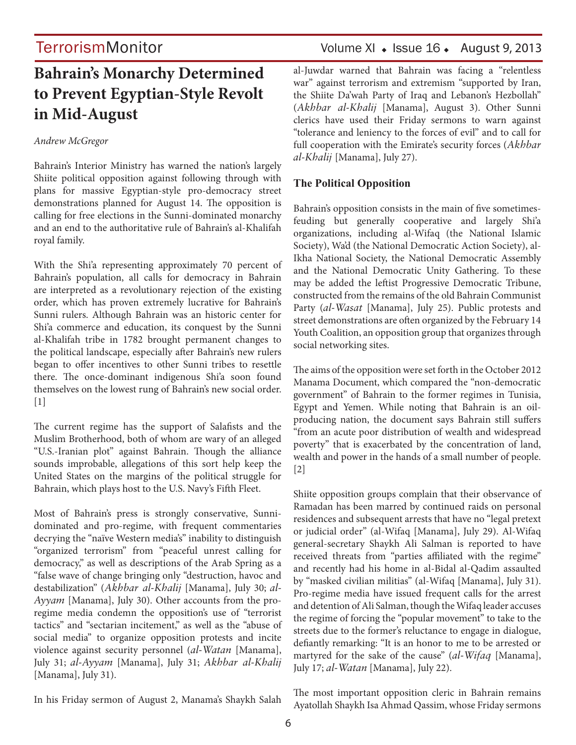## **Bahrain's Monarchy Determined to Prevent Egyptian-Style Revolt in Mid-August**

#### *Andrew McGregor*

Bahrain's Interior Ministry has warned the nation's largely Shiite political opposition against following through with plans for massive Egyptian-style pro-democracy street demonstrations planned for August 14. The opposition is calling for free elections in the Sunni-dominated monarchy and an end to the authoritative rule of Bahrain's al-Khalifah royal family.

With the Shi'a representing approximately 70 percent of Bahrain's population, all calls for democracy in Bahrain are interpreted as a revolutionary rejection of the existing order, which has proven extremely lucrative for Bahrain's Sunni rulers. Although Bahrain was an historic center for Shi'a commerce and education, its conquest by the Sunni al-Khalifah tribe in 1782 brought permanent changes to the political landscape, especially after Bahrain's new rulers began to offer incentives to other Sunni tribes to resettle there. The once-dominant indigenous Shi'a soon found themselves on the lowest rung of Bahrain's new social order.  $[1]$ 

The current regime has the support of Salafists and the Muslim Brotherhood, both of whom are wary of an alleged "U.S.-Iranian plot" against Bahrain. Though the alliance sounds improbable, allegations of this sort help keep the United States on the margins of the political struggle for Bahrain, which plays host to the U.S. Navy's Fifth Fleet.

Most of Bahrain's press is strongly conservative, Sunnidominated and pro-regime, with frequent commentaries decrying the "naïve Western media's" inability to distinguish "organized terrorism" from "peaceful unrest calling for democracy," as well as descriptions of the Arab Spring as a "false wave of change bringing only "destruction, havoc and destabilization" (*Akhbar al-Khalij* [Manama], July 30; *al-Ayyam* [Manama], July 30). Other accounts from the proregime media condemn the opposition's use of "terrorist tactics" and "sectarian incitement," as well as the "abuse of social media" to organize opposition protests and incite violence against security personnel (*al-Watan* [Manama], July 31; *al-Ayyam* [Manama], July 31; *Akhbar al-Khalij*  [Manama], July 31).

## TerrorismMonitor Volume XI • Issue 16 • August 9, 2013

al-Juwdar warned that Bahrain was facing a "relentless war" against terrorism and extremism "supported by Iran, the Shiite Da'wah Party of Iraq and Lebanon's Hezbollah" (*Akhbar al-Khalij* [Manama], August 3). Other Sunni clerics have used their Friday sermons to warn against "tolerance and leniency to the forces of evil" and to call for full cooperation with the Emirate's security forces (*Akhbar al-Khalij* [Manama], July 27).

### **The Political Opposition**

Bahrain's opposition consists in the main of five sometimesfeuding but generally cooperative and largely Shi'a organizations, including al-Wifaq (the National Islamic Society), Wa'd (the National Democratic Action Society), al-Ikha National Society, the National Democratic Assembly and the National Democratic Unity Gathering. To these may be added the leftist Progressive Democratic Tribune, constructed from the remains of the old Bahrain Communist Party (*al-Wasat* [Manama], July 25). Public protests and street demonstrations are often organized by the February 14 Youth Coalition, an opposition group that organizes through social networking sites.

The aims of the opposition were set forth in the October 2012 Manama Document, which compared the "non-democratic government" of Bahrain to the former regimes in Tunisia, Egypt and Yemen. While noting that Bahrain is an oilproducing nation, the document says Bahrain still suffers "from an acute poor distribution of wealth and widespread poverty" that is exacerbated by the concentration of land, wealth and power in the hands of a small number of people. [2]

Shiite opposition groups complain that their observance of Ramadan has been marred by continued raids on personal residences and subsequent arrests that have no "legal pretext or judicial order" (al-Wifaq [Manama], July 29). Al-Wifaq general-secretary Shaykh Ali Salman is reported to have received threats from "parties affiliated with the regime" and recently had his home in al-Bidal al-Qadim assaulted by "masked civilian militias" (al-Wifaq [Manama], July 31). Pro-regime media have issued frequent calls for the arrest and detention of Ali Salman, though the Wifaq leader accuses the regime of forcing the "popular movement" to take to the streets due to the former's reluctance to engage in dialogue, defiantly remarking: "It is an honor to me to be arrested or martyred for the sake of the cause" (*al-Wifaq* [Manama], July 17; *al-Watan* [Manama], July 22).

In his Friday sermon of August 2, Manama's Shaykh Salah

The most important opposition cleric in Bahrain remains Ayatollah Shaykh Isa Ahmad Qassim, whose Friday sermons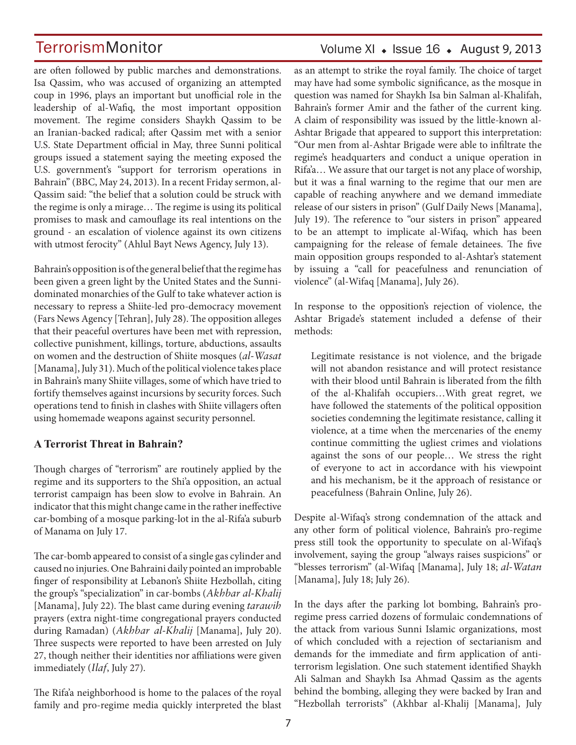are often followed by public marches and demonstrations. Isa Qassim, who was accused of organizing an attempted coup in 1996, plays an important but unofficial role in the leadership of al-Wafiq, the most important opposition movement. The regime considers Shaykh Qassim to be an Iranian-backed radical; after Qassim met with a senior U.S. State Department official in May, three Sunni political groups issued a statement saying the meeting exposed the U.S. government's "support for terrorism operations in Bahrain" (BBC, May 24, 2013). In a recent Friday sermon, al-Qassim said: "the belief that a solution could be struck with the regime is only a mirage… The regime is using its political promises to mask and camouflage its real intentions on the ground - an escalation of violence against its own citizens with utmost ferocity" (Ahlul Bayt News Agency, July 13).

Bahrain's opposition is of the general belief that the regime has been given a green light by the United States and the Sunnidominated monarchies of the Gulf to take whatever action is necessary to repress a Shiite-led pro-democracy movement (Fars News Agency [Tehran], July 28). The opposition alleges that their peaceful overtures have been met with repression, collective punishment, killings, torture, abductions, assaults on women and the destruction of Shiite mosques (*al-Wasat* [Manama], July 31). Much of the political violence takes place in Bahrain's many Shiite villages, some of which have tried to fortify themselves against incursions by security forces. Such operations tend to finish in clashes with Shiite villagers often using homemade weapons against security personnel.

### **A Terrorist Threat in Bahrain?**

Though charges of "terrorism" are routinely applied by the regime and its supporters to the Shi'a opposition, an actual terrorist campaign has been slow to evolve in Bahrain. An indicator that this might change came in the rather ineffective car-bombing of a mosque parking-lot in the al-Rifa'a suburb of Manama on July 17.

The car-bomb appeared to consist of a single gas cylinder and caused no injuries. One Bahraini daily pointed an improbable finger of responsibility at Lebanon's Shiite Hezbollah, citing the group's "specialization" in car-bombs (*Akhbar al-Khalij*  [Manama], July 22). The blast came during evening *tarawih*  prayers (extra night-time congregational prayers conducted during Ramadan) (*Akhbar al-Khalij* [Manama], July 20). Three suspects were reported to have been arrested on July 27, though neither their identities nor affiliations were given immediately (*Ilaf*, July 27).

The Rifa'a neighborhood is home to the palaces of the royal family and pro-regime media quickly interpreted the blast

## Volume XI  $\bullet$  Issue 16  $\bullet$  August 9, 2013

as an attempt to strike the royal family. The choice of target may have had some symbolic significance, as the mosque in question was named for Shaykh Isa bin Salman al-Khalifah, Bahrain's former Amir and the father of the current king. A claim of responsibility was issued by the little-known al-Ashtar Brigade that appeared to support this interpretation: "Our men from al-Ashtar Brigade were able to infiltrate the regime's headquarters and conduct a unique operation in Rifa'a… We assure that our target is not any place of worship, but it was a final warning to the regime that our men are capable of reaching anywhere and we demand immediate release of our sisters in prison" (Gulf Daily News [Manama], July 19). The reference to "our sisters in prison" appeared to be an attempt to implicate al-Wifaq, which has been campaigning for the release of female detainees. The five main opposition groups responded to al-Ashtar's statement by issuing a "call for peacefulness and renunciation of violence" (al-Wifaq [Manama], July 26).

In response to the opposition's rejection of violence, the Ashtar Brigade's statement included a defense of their methods:

Legitimate resistance is not violence, and the brigade will not abandon resistance and will protect resistance with their blood until Bahrain is liberated from the filth of the al-Khalifah occupiers…With great regret, we have followed the statements of the political opposition societies condemning the legitimate resistance, calling it violence, at a time when the mercenaries of the enemy continue committing the ugliest crimes and violations against the sons of our people… We stress the right of everyone to act in accordance with his viewpoint and his mechanism, be it the approach of resistance or peacefulness (Bahrain Online, July 26).

Despite al-Wifaq's strong condemnation of the attack and any other form of political violence, Bahrain's pro-regime press still took the opportunity to speculate on al-Wifaq's involvement, saying the group "always raises suspicions" or "blesses terrorism" (al-Wifaq [Manama], July 18; *al-Watan*  [Manama], July 18; July 26).

In the days after the parking lot bombing, Bahrain's proregime press carried dozens of formulaic condemnations of the attack from various Sunni Islamic organizations, most of which concluded with a rejection of sectarianism and demands for the immediate and firm application of antiterrorism legislation. One such statement identified Shaykh Ali Salman and Shaykh Isa Ahmad Qassim as the agents behind the bombing, alleging they were backed by Iran and "Hezbollah terrorists" (Akhbar al-Khalij [Manama], July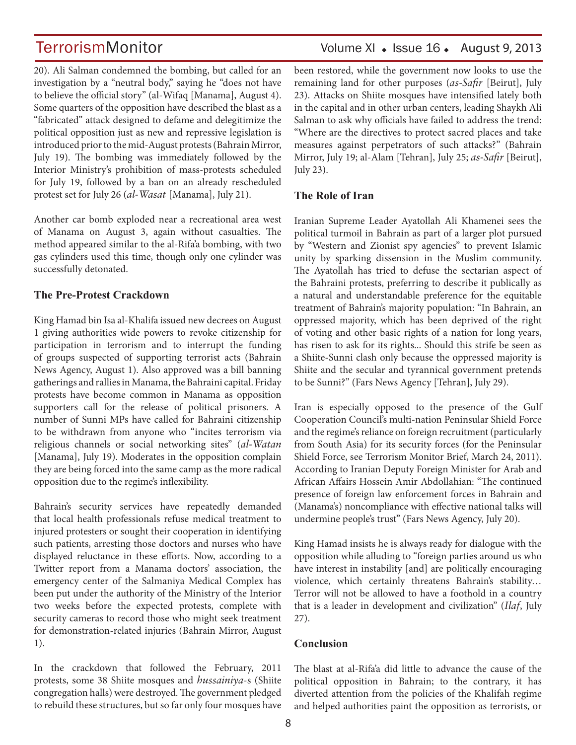20). Ali Salman condemned the bombing, but called for an investigation by a "neutral body," saying he "does not have to believe the official story" (al-Wifaq [Manama], August 4). Some quarters of the opposition have described the blast as a "fabricated" attack designed to defame and delegitimize the political opposition just as new and repressive legislation is introduced prior to the mid-August protests (Bahrain Mirror, July 19). The bombing was immediately followed by the Interior Ministry's prohibition of mass-protests scheduled for July 19, followed by a ban on an already rescheduled protest set for July 26 (*al-Wasat* [Manama], July 21).

Another car bomb exploded near a recreational area west of Manama on August 3, again without casualties. The method appeared similar to the al-Rifa'a bombing, with two gas cylinders used this time, though only one cylinder was successfully detonated.

### **The Pre-Protest Crackdown**

King Hamad bin Isa al-Khalifa issued new decrees on August 1 giving authorities wide powers to revoke citizenship for participation in terrorism and to interrupt the funding of groups suspected of supporting terrorist acts (Bahrain News Agency, August 1). Also approved was a bill banning gatherings and rallies in Manama, the Bahraini capital. Friday protests have become common in Manama as opposition supporters call for the release of political prisoners. A number of Sunni MPs have called for Bahraini citizenship to be withdrawn from anyone who "incites terrorism via religious channels or social networking sites" (*al-Watan*  [Manama], July 19]. Moderates in the opposition complain they are being forced into the same camp as the more radical opposition due to the regime's inflexibility.

Bahrain's security services have repeatedly demanded that local health professionals refuse medical treatment to injured protesters or sought their cooperation in identifying such patients, arresting those doctors and nurses who have displayed reluctance in these efforts. Now, according to a Twitter report from a Manama doctors' association, the emergency center of the Salmaniya Medical Complex has been put under the authority of the Ministry of the Interior two weeks before the expected protests, complete with security cameras to record those who might seek treatment for demonstration-related injuries (Bahrain Mirror, August 1).

In the crackdown that followed the February, 2011 protests, some 38 Shiite mosques and *hussainiya*-s (Shiite congregation halls) were destroyed. The government pledged to rebuild these structures, but so far only four mosques have been restored, while the government now looks to use the remaining land for other purposes (*as-Safir* [Beirut], July 23). Attacks on Shiite mosques have intensified lately both in the capital and in other urban centers, leading Shaykh Ali Salman to ask why officials have failed to address the trend: "Where are the directives to protect sacred places and take measures against perpetrators of such attacks?" (Bahrain Mirror, July 19; al-Alam [Tehran], July 25; *as-Safir* [Beirut], July 23).

### **The Role of Iran**

Iranian Supreme Leader Ayatollah Ali Khamenei sees the political turmoil in Bahrain as part of a larger plot pursued by "Western and Zionist spy agencies" to prevent Islamic unity by sparking dissension in the Muslim community. The Ayatollah has tried to defuse the sectarian aspect of the Bahraini protests, preferring to describe it publically as a natural and understandable preference for the equitable treatment of Bahrain's majority population: "In Bahrain, an oppressed majority, which has been deprived of the right of voting and other basic rights of a nation for long years, has risen to ask for its rights... Should this strife be seen as a Shiite-Sunni clash only because the oppressed majority is Shiite and the secular and tyrannical government pretends to be Sunni?" (Fars News Agency [Tehran], July 29).

Iran is especially opposed to the presence of the Gulf Cooperation Council's multi-nation Peninsular Shield Force and the regime's reliance on foreign recruitment (particularly from South Asia) for its security forces (for the Peninsular Shield Force, see Terrorism Monitor Brief, March 24, 2011). According to Iranian Deputy Foreign Minister for Arab and African Affairs Hossein Amir Abdollahian: "The continued presence of foreign law enforcement forces in Bahrain and (Manama's) noncompliance with effective national talks will undermine people's trust" (Fars News Agency, July 20).

King Hamad insists he is always ready for dialogue with the opposition while alluding to "foreign parties around us who have interest in instability [and] are politically encouraging violence, which certainly threatens Bahrain's stability… Terror will not be allowed to have a foothold in a country that is a leader in development and civilization" (*Ilaf*, July 27).

### **Conclusion**

The blast at al-Rifa'a did little to advance the cause of the political opposition in Bahrain; to the contrary, it has diverted attention from the policies of the Khalifah regime and helped authorities paint the opposition as terrorists, or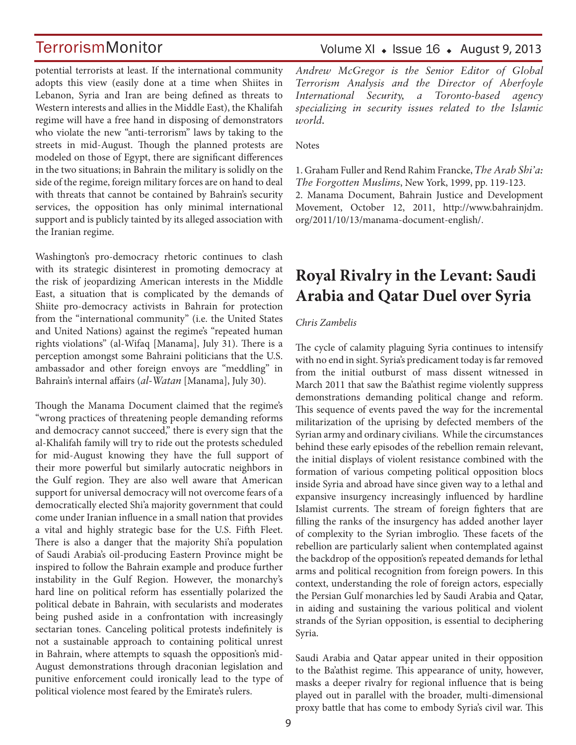potential terrorists at least. If the international community adopts this view (easily done at a time when Shiites in Lebanon, Syria and Iran are being defined as threats to Western interests and allies in the Middle East), the Khalifah regime will have a free hand in disposing of demonstrators who violate the new "anti-terrorism" laws by taking to the streets in mid-August. Though the planned protests are modeled on those of Egypt, there are significant differences in the two situations; in Bahrain the military is solidly on the side of the regime, foreign military forces are on hand to deal with threats that cannot be contained by Bahrain's security services, the opposition has only minimal international support and is publicly tainted by its alleged association with the Iranian regime.

Washington's pro-democracy rhetoric continues to clash with its strategic disinterest in promoting democracy at the risk of jeopardizing American interests in the Middle East, a situation that is complicated by the demands of Shiite pro-democracy activists in Bahrain for protection from the "international community" (i.e. the United States and United Nations) against the regime's "repeated human rights violations" (al-Wifaq [Manama], July 31). There is a perception amongst some Bahraini politicians that the U.S. ambassador and other foreign envoys are "meddling" in Bahrain's internal affairs (*al-Watan* [Manama], July 30).

Though the Manama Document claimed that the regime's "wrong practices of threatening people demanding reforms and democracy cannot succeed," there is every sign that the al-Khalifah family will try to ride out the protests scheduled for mid-August knowing they have the full support of their more powerful but similarly autocratic neighbors in the Gulf region. They are also well aware that American support for universal democracy will not overcome fears of a democratically elected Shi'a majority government that could come under Iranian influence in a small nation that provides a vital and highly strategic base for the U.S. Fifth Fleet. There is also a danger that the majority Shi'a population of Saudi Arabia's oil-producing Eastern Province might be inspired to follow the Bahrain example and produce further instability in the Gulf Region. However, the monarchy's hard line on political reform has essentially polarized the political debate in Bahrain, with secularists and moderates being pushed aside in a confrontation with increasingly sectarian tones. Canceling political protests indefinitely is not a sustainable approach to containing political unrest in Bahrain, where attempts to squash the opposition's mid-August demonstrations through draconian legislation and punitive enforcement could ironically lead to the type of political violence most feared by the Emirate's rulers.

### Volume XI  $\bullet$  Issue 16  $\bullet$  August 9, 2013

*Andrew McGregor is the Senior Editor of Global Terrorism Analysis and the Director of Aberfoyle International Security, a Toronto-based agency specializing in security issues related to the Islamic world.*

**Notes** 

1. Graham Fuller and Rend Rahim Francke, *The Arab Shi'a: The Forgotten Muslims*, New York, 1999, pp. 119-123. 2. Manama Document, Bahrain Justice and Development Movement, October 12, 2011, http://www.bahrainjdm. org/2011/10/13/manama-document-english/.

## **Royal Rivalry in the Levant: Saudi Arabia and Qatar Duel over Syria**

#### *Chris Zambelis*

The cycle of calamity plaguing Syria continues to intensify with no end in sight. Syria's predicament today is far removed from the initial outburst of mass dissent witnessed in March 2011 that saw the Ba'athist regime violently suppress demonstrations demanding political change and reform. This sequence of events paved the way for the incremental militarization of the uprising by defected members of the Syrian army and ordinary civilians. While the circumstances behind these early episodes of the rebellion remain relevant, the initial displays of violent resistance combined with the formation of various competing political opposition blocs inside Syria and abroad have since given way to a lethal and expansive insurgency increasingly influenced by hardline Islamist currents. The stream of foreign fighters that are filling the ranks of the insurgency has added another layer of complexity to the Syrian imbroglio. These facets of the rebellion are particularly salient when contemplated against the backdrop of the opposition's repeated demands for lethal arms and political recognition from foreign powers. In this context, understanding the role of foreign actors, especially the Persian Gulf monarchies led by Saudi Arabia and Qatar, in aiding and sustaining the various political and violent strands of the Syrian opposition, is essential to deciphering Syria.

Saudi Arabia and Qatar appear united in their opposition to the Ba'athist regime. This appearance of unity, however, masks a deeper rivalry for regional influence that is being played out in parallel with the broader, multi-dimensional proxy battle that has come to embody Syria's civil war. This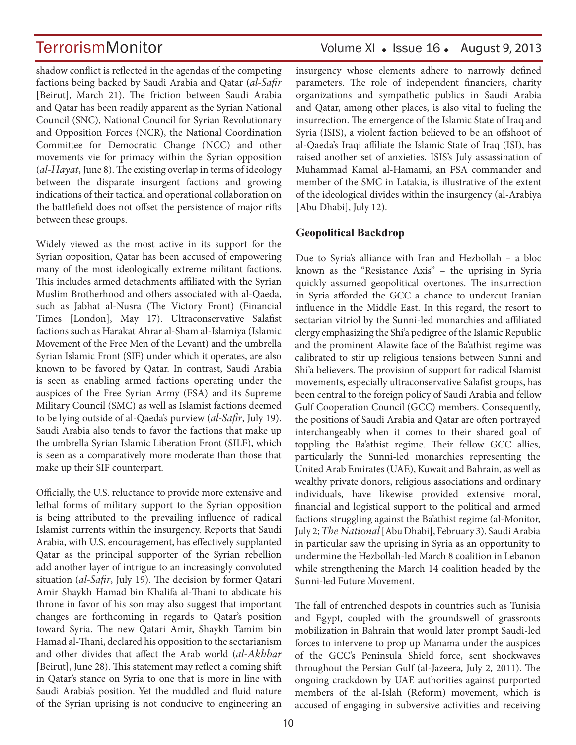shadow conflict is reflected in the agendas of the competing factions being backed by Saudi Arabia and Qatar (*al-Safir* [Beirut], March 21). The friction between Saudi Arabia and Qatar has been readily apparent as the Syrian National Council (SNC), National Council for Syrian Revolutionary and Opposition Forces (NCR), the National Coordination Committee for Democratic Change (NCC) and other movements vie for primacy within the Syrian opposition (*al-Hayat*, June 8). The existing overlap in terms of ideology between the disparate insurgent factions and growing indications of their tactical and operational collaboration on the battlefield does not offset the persistence of major rifts between these groups.

Widely viewed as the most active in its support for the Syrian opposition, Qatar has been accused of empowering many of the most ideologically extreme militant factions. This includes armed detachments affiliated with the Syrian Muslim Brotherhood and others associated with al-Qaeda, such as Jabhat al-Nusra (The Victory Front) (Financial Times [London], May 17). Ultraconservative Salafist factions such as Harakat Ahrar al-Sham al-Islamiya (Islamic Movement of the Free Men of the Levant) and the umbrella Syrian Islamic Front (SIF) under which it operates, are also known to be favored by Qatar. In contrast, Saudi Arabia is seen as enabling armed factions operating under the auspices of the Free Syrian Army (FSA) and its Supreme Military Council (SMC) as well as Islamist factions deemed to be lying outside of al-Qaeda's purview (*al-Safir*, July 19). Saudi Arabia also tends to favor the factions that make up the umbrella Syrian Islamic Liberation Front (SILF), which is seen as a comparatively more moderate than those that make up their SIF counterpart.

Officially, the U.S. reluctance to provide more extensive and lethal forms of military support to the Syrian opposition is being attributed to the prevailing influence of radical Islamist currents within the insurgency. Reports that Saudi Arabia, with U.S. encouragement, has effectively supplanted Qatar as the principal supporter of the Syrian rebellion add another layer of intrigue to an increasingly convoluted situation (*al-Safir*, July 19). The decision by former Qatari Amir Shaykh Hamad bin Khalifa al-Thani to abdicate his throne in favor of his son may also suggest that important changes are forthcoming in regards to Qatar's position toward Syria. The new Qatari Amir, Shaykh Tamim bin Hamad al-Thani, declared his opposition to the sectarianism and other divides that affect the Arab world (*al-Akhbar* [Beirut], June 28). This statement may reflect a coming shift in Qatar's stance on Syria to one that is more in line with Saudi Arabia's position. Yet the muddled and fluid nature of the Syrian uprising is not conducive to engineering an

## TerrorismMonitor Volume XI + Issue 16 + August 9, 2013

insurgency whose elements adhere to narrowly defined parameters. The role of independent financiers, charity organizations and sympathetic publics in Saudi Arabia and Qatar, among other places, is also vital to fueling the insurrection. The emergence of the Islamic State of Iraq and Syria (ISIS), a violent faction believed to be an offshoot of al-Qaeda's Iraqi affiliate the Islamic State of Iraq (ISI), has raised another set of anxieties. ISIS's July assassination of Muhammad Kamal al-Hamami, an FSA commander and member of the SMC in Latakia, is illustrative of the extent of the ideological divides within the insurgency (al-Arabiya [Abu Dhabi], July 12).

### **Geopolitical Backdrop**

Due to Syria's alliance with Iran and Hezbollah – a bloc known as the "Resistance Axis" – the uprising in Syria quickly assumed geopolitical overtones. The insurrection in Syria afforded the GCC a chance to undercut Iranian influence in the Middle East. In this regard, the resort to sectarian vitriol by the Sunni-led monarchies and affiliated clergy emphasizing the Shi'a pedigree of the Islamic Republic and the prominent Alawite face of the Ba'athist regime was calibrated to stir up religious tensions between Sunni and Shi'a believers. The provision of support for radical Islamist movements, especially ultraconservative Salafist groups, has been central to the foreign policy of Saudi Arabia and fellow Gulf Cooperation Council (GCC) members. Consequently, the positions of Saudi Arabia and Qatar are often portrayed interchangeably when it comes to their shared goal of toppling the Ba'athist regime. Their fellow GCC allies, particularly the Sunni-led monarchies representing the United Arab Emirates (UAE), Kuwait and Bahrain, as well as wealthy private donors, religious associations and ordinary individuals, have likewise provided extensive moral, financial and logistical support to the political and armed factions struggling against the Ba'athist regime (al-Monitor, July 2; *The National* [Abu Dhabi], February 3). Saudi Arabia in particular saw the uprising in Syria as an opportunity to undermine the Hezbollah-led March 8 coalition in Lebanon while strengthening the March 14 coalition headed by the Sunni-led Future Movement.

The fall of entrenched despots in countries such as Tunisia and Egypt, coupled with the groundswell of grassroots mobilization in Bahrain that would later prompt Saudi-led forces to intervene to prop up Manama under the auspices of the GCC's Peninsula Shield force, sent shockwaves throughout the Persian Gulf (al-Jazeera, July 2, 2011). The ongoing crackdown by UAE authorities against purported members of the al-Islah (Reform) movement, which is accused of engaging in subversive activities and receiving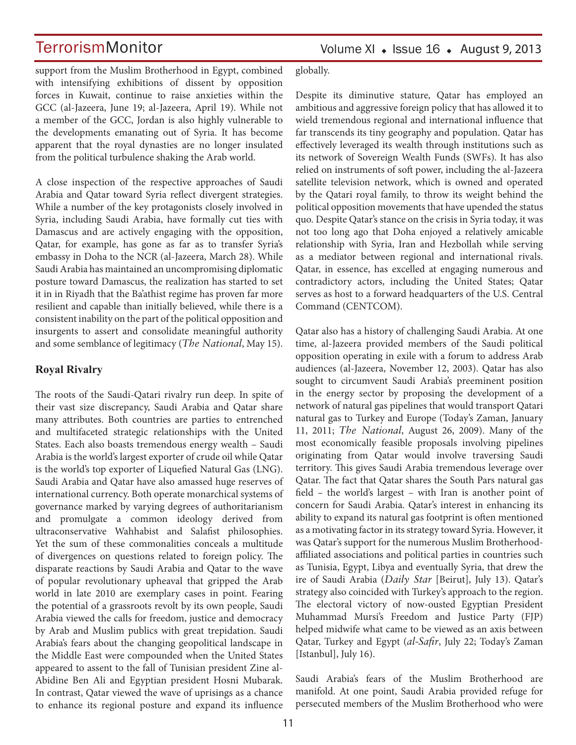support from the Muslim Brotherhood in Egypt, combined with intensifying exhibitions of dissent by opposition forces in Kuwait, continue to raise anxieties within the GCC (al-Jazeera, June 19; al-Jazeera, April 19). While not a member of the GCC, Jordan is also highly vulnerable to the developments emanating out of Syria. It has become apparent that the royal dynasties are no longer insulated from the political turbulence shaking the Arab world.

A close inspection of the respective approaches of Saudi Arabia and Qatar toward Syria reflect divergent strategies. While a number of the key protagonists closely involved in Syria, including Saudi Arabia, have formally cut ties with Damascus and are actively engaging with the opposition, Qatar, for example, has gone as far as to transfer Syria's embassy in Doha to the NCR (al-Jazeera, March 28). While Saudi Arabia has maintained an uncompromising diplomatic posture toward Damascus, the realization has started to set it in in Riyadh that the Ba'athist regime has proven far more resilient and capable than initially believed, while there is a consistent inability on the part of the political opposition and insurgents to assert and consolidate meaningful authority and some semblance of legitimacy (*The National*, May 15).

#### **Royal Rivalry**

The roots of the Saudi-Qatari rivalry run deep. In spite of their vast size discrepancy, Saudi Arabia and Qatar share many attributes. Both countries are parties to entrenched and multifaceted strategic relationships with the United States. Each also boasts tremendous energy wealth – Saudi Arabia is the world's largest exporter of crude oil while Qatar is the world's top exporter of Liquefied Natural Gas (LNG). Saudi Arabia and Qatar have also amassed huge reserves of international currency. Both operate monarchical systems of governance marked by varying degrees of authoritarianism and promulgate a common ideology derived from ultraconservative Wahhabist and Salafist philosophies. Yet the sum of these commonalities conceals a multitude of divergences on questions related to foreign policy. The disparate reactions by Saudi Arabia and Qatar to the wave of popular revolutionary upheaval that gripped the Arab world in late 2010 are exemplary cases in point. Fearing the potential of a grassroots revolt by its own people, Saudi Arabia viewed the calls for freedom, justice and democracy by Arab and Muslim publics with great trepidation. Saudi Arabia's fears about the changing geopolitical landscape in the Middle East were compounded when the United States appeared to assent to the fall of Tunisian president Zine al-Abidine Ben Ali and Egyptian president Hosni Mubarak. In contrast, Qatar viewed the wave of uprisings as a chance to enhance its regional posture and expand its influence globally.

Despite its diminutive stature, Qatar has employed an ambitious and aggressive foreign policy that has allowed it to wield tremendous regional and international influence that far transcends its tiny geography and population. Qatar has effectively leveraged its wealth through institutions such as its network of Sovereign Wealth Funds (SWFs). It has also relied on instruments of soft power, including the al-Jazeera satellite television network, which is owned and operated by the Qatari royal family, to throw its weight behind the political opposition movements that have upended the status quo. Despite Qatar's stance on the crisis in Syria today, it was not too long ago that Doha enjoyed a relatively amicable relationship with Syria, Iran and Hezbollah while serving as a mediator between regional and international rivals. Qatar, in essence, has excelled at engaging numerous and contradictory actors, including the United States; Qatar serves as host to a forward headquarters of the U.S. Central Command (CENTCOM).

Qatar also has a history of challenging Saudi Arabia. At one time, al-Jazeera provided members of the Saudi political opposition operating in exile with a forum to address Arab audiences (al-Jazeera, November 12, 2003). Qatar has also sought to circumvent Saudi Arabia's preeminent position in the energy sector by proposing the development of a network of natural gas pipelines that would transport Qatari natural gas to Turkey and Europe (Today's Zaman, January 11, 2011; *The National*, August 26, 2009). Many of the most economically feasible proposals involving pipelines originating from Qatar would involve traversing Saudi territory. This gives Saudi Arabia tremendous leverage over Qatar. The fact that Qatar shares the South Pars natural gas field – the world's largest – with Iran is another point of concern for Saudi Arabia. Qatar's interest in enhancing its ability to expand its natural gas footprint is often mentioned as a motivating factor in its strategy toward Syria. However, it was Qatar's support for the numerous Muslim Brotherhoodaffiliated associations and political parties in countries such as Tunisia, Egypt, Libya and eventually Syria, that drew the ire of Saudi Arabia (*Daily Star* [Beirut], July 13). Qatar's strategy also coincided with Turkey's approach to the region. The electoral victory of now-ousted Egyptian President Muhammad Mursi's Freedom and Justice Party (FJP) helped midwife what came to be viewed as an axis between Qatar, Turkey and Egypt (*al-Safir*, July 22; Today's Zaman [Istanbul], July 16).

Saudi Arabia's fears of the Muslim Brotherhood are manifold. At one point, Saudi Arabia provided refuge for persecuted members of the Muslim Brotherhood who were